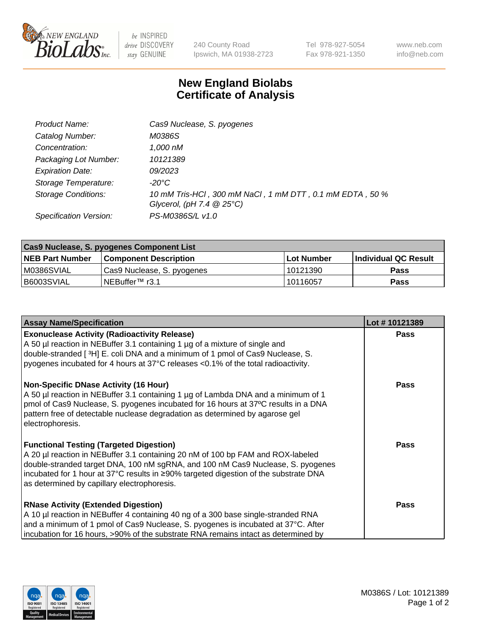

be INSPIRED drive DISCOVERY stay GENUINE

240 County Road Ipswich, MA 01938-2723 Tel 978-927-5054 Fax 978-921-1350 www.neb.com info@neb.com

## **New England Biolabs Certificate of Analysis**

| Product Name:              | Cas9 Nuclease, S. pyogenes                                                              |
|----------------------------|-----------------------------------------------------------------------------------------|
| Catalog Number:            | M0386S                                                                                  |
| Concentration:             | 1,000 nM                                                                                |
| Packaging Lot Number:      | 10121389                                                                                |
| <b>Expiration Date:</b>    | <i>09/2023</i>                                                                          |
| Storage Temperature:       | -20°C                                                                                   |
| <b>Storage Conditions:</b> | 10 mM Tris-HCl, 300 mM NaCl, 1 mM DTT, 0.1 mM EDTA, 50 %<br>Glycerol, (pH 7.4 $@25°C$ ) |
| Specification Version:     | PS-M0386S/L v1.0                                                                        |

| <b>Cas9 Nuclease, S. pyogenes Component List</b> |                              |                   |                      |  |  |
|--------------------------------------------------|------------------------------|-------------------|----------------------|--|--|
| <b>NEB Part Number</b>                           | <b>Component Description</b> | <b>Lot Number</b> | Individual QC Result |  |  |
| IM0386SVIAL                                      | Cas9 Nuclease, S. pyogenes   | 10121390          | Pass                 |  |  |
| I B6003SVIAL                                     | INEBuffer <sup>™</sup> r3.1  | l 10116057        | Pass                 |  |  |

| <b>Assay Name/Specification</b>                                                                                                                                                                                                                                                                                                                             | Lot #10121389 |
|-------------------------------------------------------------------------------------------------------------------------------------------------------------------------------------------------------------------------------------------------------------------------------------------------------------------------------------------------------------|---------------|
| <b>Exonuclease Activity (Radioactivity Release)</b><br>A 50 µl reaction in NEBuffer 3.1 containing 1 µg of a mixture of single and<br>double-stranded [3H] E. coli DNA and a minimum of 1 pmol of Cas9 Nuclease, S.<br>pyogenes incubated for 4 hours at 37°C releases <0.1% of the total radioactivity.                                                    | <b>Pass</b>   |
| <b>Non-Specific DNase Activity (16 Hour)</b><br>A 50 µl reaction in NEBuffer 3.1 containing 1 µg of Lambda DNA and a minimum of 1<br>pmol of Cas9 Nuclease, S. pyogenes incubated for 16 hours at 37°C results in a DNA<br>pattern free of detectable nuclease degradation as determined by agarose gel<br>electrophoresis.                                 | <b>Pass</b>   |
| <b>Functional Testing (Targeted Digestion)</b><br>A 20 µl reaction in NEBuffer 3.1 containing 20 nM of 100 bp FAM and ROX-labeled<br>double-stranded target DNA, 100 nM sgRNA, and 100 nM Cas9 Nuclease, S. pyogenes<br>incubated for 1 hour at 37°C results in ≥90% targeted digestion of the substrate DNA<br>as determined by capillary electrophoresis. | Pass          |
| <b>RNase Activity (Extended Digestion)</b><br>A 10 µl reaction in NEBuffer 4 containing 40 ng of a 300 base single-stranded RNA<br>and a minimum of 1 pmol of Cas9 Nuclease, S. pyogenes is incubated at 37°C. After<br>incubation for 16 hours, >90% of the substrate RNA remains intact as determined by                                                  | Pass          |